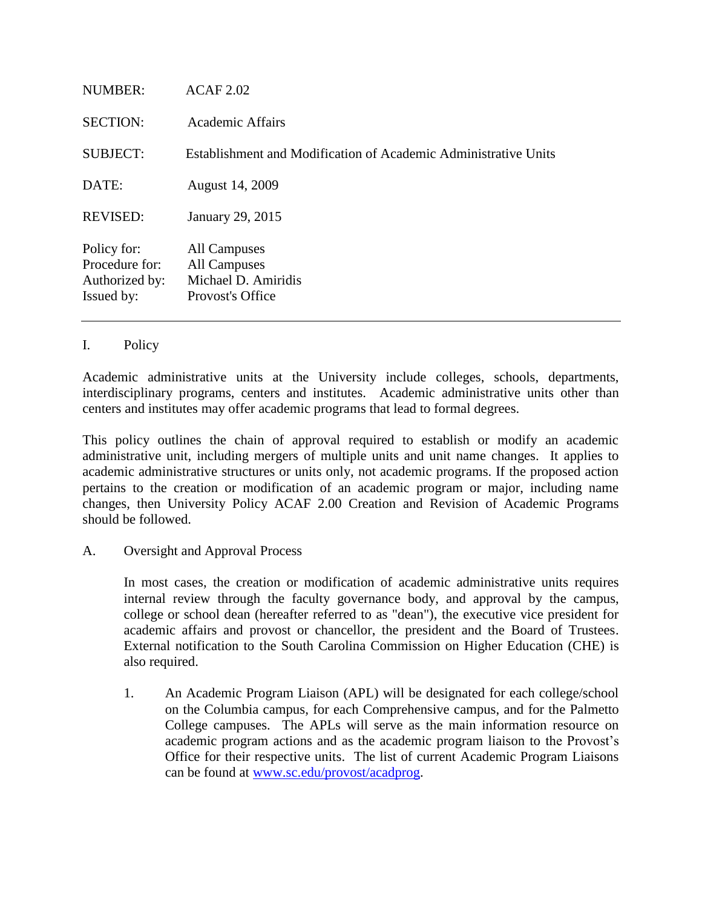| NUMBER:                                                       | ACAF 2.02                                                               |
|---------------------------------------------------------------|-------------------------------------------------------------------------|
| <b>SECTION:</b>                                               | Academic Affairs                                                        |
| <b>SUBJECT:</b>                                               | Establishment and Modification of Academic Administrative Units         |
| DATE:                                                         | August 14, 2009                                                         |
| <b>REVISED:</b>                                               | January 29, 2015                                                        |
| Policy for:<br>Procedure for:<br>Authorized by:<br>Issued by: | All Campuses<br>All Campuses<br>Michael D. Amiridis<br>Provost's Office |

## I. Policy

Academic administrative units at the University include colleges, schools, departments, interdisciplinary programs, centers and institutes. Academic administrative units other than centers and institutes may offer academic programs that lead to formal degrees.

This policy outlines the chain of approval required to establish or modify an academic administrative unit, including mergers of multiple units and unit name changes. It applies to academic administrative structures or units only, not academic programs. If the proposed action pertains to the creation or modification of an academic program or major, including name changes, then University Policy ACAF 2.00 Creation and Revision of Academic Programs should be followed.

A. Oversight and Approval Process

In most cases, the creation or modification of academic administrative units requires internal review through the faculty governance body, and approval by the campus, college or school dean (hereafter referred to as "dean"), the executive vice president for academic affairs and provost or chancellor, the president and the Board of Trustees. External notification to the South Carolina Commission on Higher Education (CHE) is also required.

1. An Academic Program Liaison (APL) will be designated for each college/school on the Columbia campus, for each Comprehensive campus, and for the Palmetto College campuses. The APLs will serve as the main information resource on academic program actions and as the academic program liaison to the Provost's Office for their respective units. The list of current Academic Program Liaisons can be found at [www.sc.edu/provost/acadprog.](http://www.sc.edu/provost/acadprog)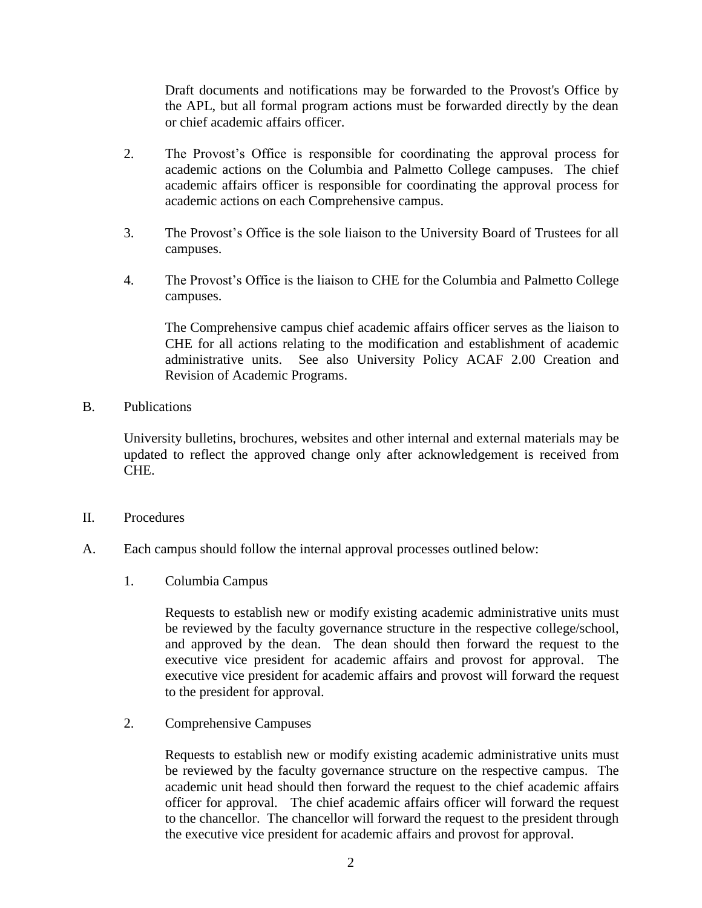Draft documents and notifications may be forwarded to the Provost's Office by the APL, but all formal program actions must be forwarded directly by the dean or chief academic affairs officer.

- 2. The Provost's Office is responsible for coordinating the approval process for academic actions on the Columbia and Palmetto College campuses. The chief academic affairs officer is responsible for coordinating the approval process for academic actions on each Comprehensive campus.
- 3. The Provost's Office is the sole liaison to the University Board of Trustees for all campuses.
- 4. The Provost's Office is the liaison to CHE for the Columbia and Palmetto College campuses.

The Comprehensive campus chief academic affairs officer serves as the liaison to CHE for all actions relating to the modification and establishment of academic administrative units. See also University Policy ACAF 2.00 Creation and Revision of Academic Programs.

B. Publications

University bulletins, brochures, websites and other internal and external materials may be updated to reflect the approved change only after acknowledgement is received from CHE.

- II. Procedures
- A. Each campus should follow the internal approval processes outlined below:
	- 1. Columbia Campus

Requests to establish new or modify existing academic administrative units must be reviewed by the faculty governance structure in the respective college/school, and approved by the dean. The dean should then forward the request to the executive vice president for academic affairs and provost for approval. The executive vice president for academic affairs and provost will forward the request to the president for approval.

2. Comprehensive Campuses

Requests to establish new or modify existing academic administrative units must be reviewed by the faculty governance structure on the respective campus. The academic unit head should then forward the request to the chief academic affairs officer for approval. The chief academic affairs officer will forward the request to the chancellor. The chancellor will forward the request to the president through the executive vice president for academic affairs and provost for approval.